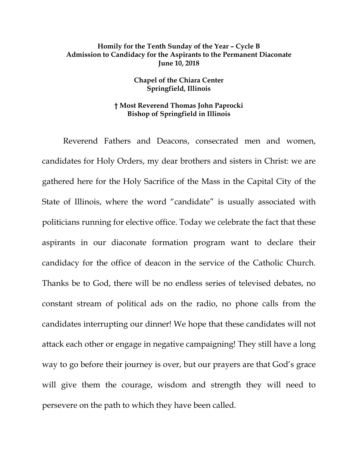## **Homily for the Tenth Sunday of the Year – Cycle B Admission to Candidacy for the Aspirants to the Permanent Diaconate June 10, 2018**

## **Chapel of the Chiara Center Springfield, Illinois**

## **† Most Reverend Thomas John Paprocki Bishop of Springfield in Illinois**

Reverend Fathers and Deacons, consecrated men and women, candidates for Holy Orders, my dear brothers and sisters in Christ: we are gathered here for the Holy Sacrifice of the Mass in the Capital City of the State of Illinois, where the word "candidate" is usually associated with politicians running for elective office. Today we celebrate the fact that these aspirants in our diaconate formation program want to declare their candidacy for the office of deacon in the service of the Catholic Church. Thanks be to God, there will be no endless series of televised debates, no constant stream of political ads on the radio, no phone calls from the candidates interrupting our dinner! We hope that these candidates will not attack each other or engage in negative campaigning! They still have a long way to go before their journey is over, but our prayers are that God's grace will give them the courage, wisdom and strength they will need to persevere on the path to which they have been called.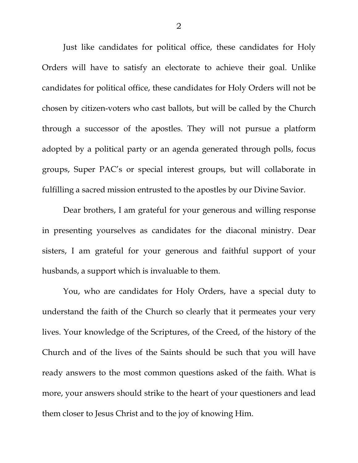Just like candidates for political office, these candidates for Holy Orders will have to satisfy an electorate to achieve their goal. Unlike candidates for political office, these candidates for Holy Orders will not be chosen by citizen-voters who cast ballots, but will be called by the Church through a successor of the apostles. They will not pursue a platform adopted by a political party or an agenda generated through polls, focus groups, Super PAC's or special interest groups, but will collaborate in fulfilling a sacred mission entrusted to the apostles by our Divine Savior.

Dear brothers, I am grateful for your generous and willing response in presenting yourselves as candidates for the diaconal ministry. Dear sisters, I am grateful for your generous and faithful support of your husbands, a support which is invaluable to them.

You, who are candidates for Holy Orders, have a special duty to understand the faith of the Church so clearly that it permeates your very lives. Your knowledge of the Scriptures, of the Creed, of the history of the Church and of the lives of the Saints should be such that you will have ready answers to the most common questions asked of the faith. What is more, your answers should strike to the heart of your questioners and lead them closer to Jesus Christ and to the joy of knowing Him.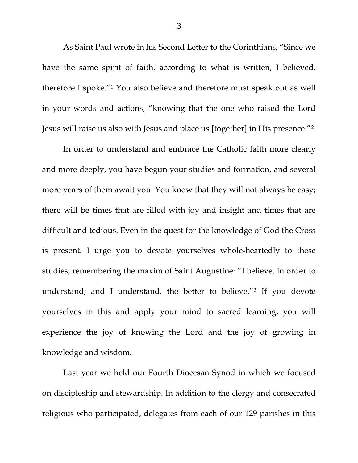As Saint Paul wrote in his Second Letter to the Corinthians, "Since we have the same spirit of faith, according to what is written, I believed, therefore I spoke."[1](#page-5-0) You also believe and therefore must speak out as well in your words and actions, "knowing that the one who raised the Lord Jesus will raise us also with Jesus and place us [together] in His presence."[2](#page-5-1)

In order to understand and embrace the Catholic faith more clearly and more deeply, you have begun your studies and formation, and several more years of them await you. You know that they will not always be easy; there will be times that are filled with joy and insight and times that are difficult and tedious. Even in the quest for the knowledge of God the Cross is present. I urge you to devote yourselves whole-heartedly to these studies, remembering the maxim of Saint Augustine: "I believe, in order to understand; and I understand, the better to believe."[3](#page-5-2) If you devote yourselves in this and apply your mind to sacred learning, you will experience the joy of knowing the Lord and the joy of growing in knowledge and wisdom.

Last year we held our Fourth Diocesan Synod in which we focused on discipleship and stewardship. In addition to the clergy and consecrated religious who participated, delegates from each of our 129 parishes in this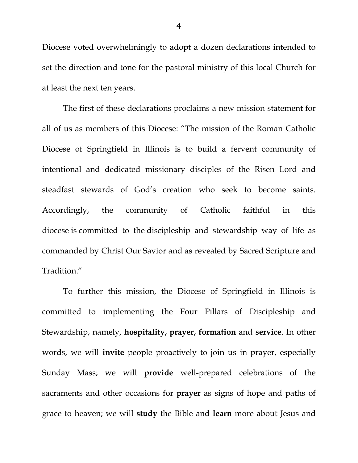Diocese voted overwhelmingly to adopt a dozen declarations intended to set the direction and tone for the pastoral ministry of this local Church for at least the next ten years.

The first of these declarations proclaims a new mission statement for all of us as members of this Diocese: "The mission of the Roman Catholic Diocese of Springfield in Illinois is to build a fervent community of intentional and dedicated missionary disciples of the Risen Lord and steadfast stewards of God's creation who seek to become saints. Accordingly, the community of Catholic faithful in this diocese is committed to the discipleship and stewardship way of life as commanded by Christ Our Savior and as revealed by Sacred Scripture and Tradition."

To further this mission, the Diocese of Springfield in Illinois is committed to implementing the Four Pillars of Discipleship and Stewardship, namely, **hospitality, prayer, formation** and **service**. In other words, we will **invite** people proactively to join us in prayer, especially Sunday Mass; we will **provide** well-prepared celebrations of the sacraments and other occasions for **prayer** as signs of hope and paths of grace to heaven; we will **study** the Bible and **learn** more about Jesus and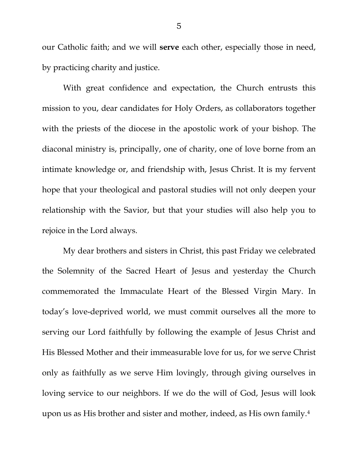our Catholic faith; and we will **serve** each other, especially those in need, by practicing charity and justice.

With great confidence and expectation, the Church entrusts this mission to you, dear candidates for Holy Orders, as collaborators together with the priests of the diocese in the apostolic work of your bishop. The diaconal ministry is, principally, one of charity, one of love borne from an intimate knowledge or, and friendship with, Jesus Christ. It is my fervent hope that your theological and pastoral studies will not only deepen your relationship with the Savior, but that your studies will also help you to rejoice in the Lord always.

My dear brothers and sisters in Christ, this past Friday we celebrated the Solemnity of the Sacred Heart of Jesus and yesterday the Church commemorated the Immaculate Heart of the Blessed Virgin Mary. In today's love-deprived world, we must commit ourselves all the more to serving our Lord faithfully by following the example of Jesus Christ and His Blessed Mother and their immeasurable love for us, for we serve Christ only as faithfully as we serve Him lovingly, through giving ourselves in loving service to our neighbors. If we do the will of God, Jesus will look upon us as His brother and sister and mother, indeed, as His own family.[4](#page-5-3)